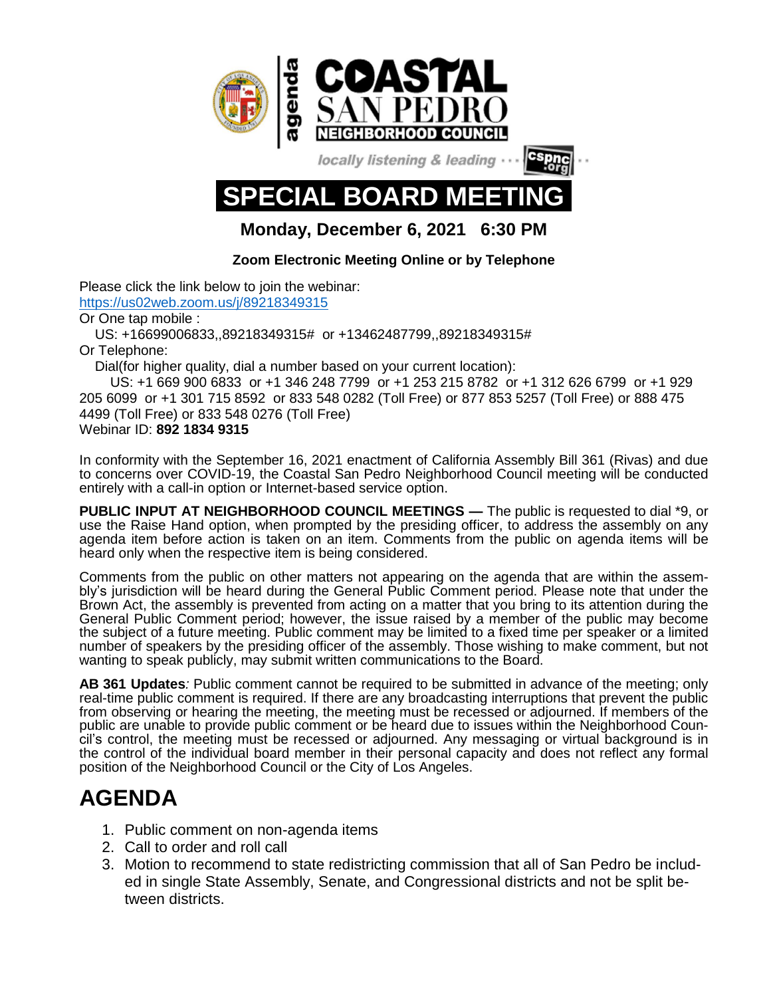

locally listening & leading



**Monday, December 6, 2021 6:30 PM**

## **Zoom Electronic Meeting Online or by Telephone**

Please click the link below to join the webinar: <https://us02web.zoom.us/j/89218349315> Or One tap mobile : US: +16699006833,,89218349315# or +13462487799,,89218349315# Or Telephone: Dial(for higher quality, dial a number based on your current location): US: +1 669 900 6833 or +1 346 248 7799 or +1 253 215 8782 or +1 312 626 6799 or +1 929

205 6099 or +1 301 715 8592 or 833 548 0282 (Toll Free) or 877 853 5257 (Toll Free) or 888 475 4499 (Toll Free) or 833 548 0276 (Toll Free) Webinar ID: **892 1834 9315**

In conformity with the September 16, 2021 enactment of California Assembly Bill 361 (Rivas) and due to concerns over COVID-19, the Coastal San Pedro Neighborhood Council meeting will be conducted entirely with a call-in option or Internet-based service option.

**PUBLIC INPUT AT NEIGHBORHOOD COUNCIL MEETINGS —** The public is requested to dial \*9, or use the Raise Hand option, when prompted by the presiding officer, to address the assembly on any agenda item before action is taken on an item. Comments from the public on agenda items will be heard only when the respective item is being considered.

Comments from the public on other matters not appearing on the agenda that are within the assembly's jurisdiction will be heard during the General Public Comment period. Please note that under the Brown Act, the assembly is prevented from acting on a matter that you bring to its attention during the General Public Comment period; however, the issue raised by a member of the public may become the subject of a future meeting. Public comment may be limited to a fixed time per speaker or a limited number of speakers by the presiding officer of the assembly. Those wishing to make comment, but not wanting to speak publicly, may submit written communications to the Board.

**AB 361 Updates***:* Public comment cannot be required to be submitted in advance of the meeting; only real-time public comment is required. If there are any broadcasting interruptions that prevent the public from observing or hearing the meeting, the meeting must be recessed or adjourned. If members of the public are unable to provide public comment or be heard due to issues within the Neighborhood Council's control, the meeting must be recessed or adjourned. Any messaging or virtual background is in the control of the individual board member in their personal capacity and does not reflect any formal position of the Neighborhood Council or the City of Los Angeles.

## **AGENDA**

- 1. Public comment on non-agenda items
- 2. Call to order and roll call
- 3. Motion to recommend to state redistricting commission that all of San Pedro be included in single State Assembly, Senate, and Congressional districts and not be split between districts.